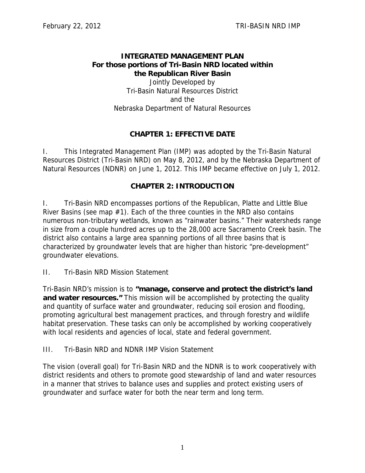### **INTEGRATED MANAGEMENT PLAN For those portions of Tri-Basin NRD located within the Republican River Basin**  Jointly Developed by Tri-Basin Natural Resources District and the Nebraska Department of Natural Resources

## **CHAPTER 1: EFFECTIVE DATE**

I. This Integrated Management Plan (IMP) was adopted by the Tri-Basin Natural Resources District (Tri-Basin NRD) on May 8, 2012, and by the Nebraska Department of Natural Resources (NDNR) on June 1, 2012. This IMP became effective on July 1, 2012.

#### **CHAPTER 2: INTRODUCTION**

I. Tri-Basin NRD encompasses portions of the Republican, Platte and Little Blue River Basins (see map  $#1$ ). Each of the three counties in the NRD also contains numerous non-tributary wetlands, known as "rainwater basins." Their watersheds range in size from a couple hundred acres up to the 28,000 acre Sacramento Creek basin. The district also contains a large area spanning portions of all three basins that is characterized by groundwater levels that are higher than historic "pre-development" groundwater elevations.

II. Tri-Basin NRD Mission Statement

Tri-Basin NRD's mission is to **"manage, conserve and protect the district's land and water resources."** This mission will be accomplished by protecting the quality and quantity of surface water and groundwater, reducing soil erosion and flooding, promoting agricultural best management practices, and through forestry and wildlife habitat preservation. These tasks can only be accomplished by working cooperatively with local residents and agencies of local, state and federal government.

III. Tri-Basin NRD and NDNR IMP Vision Statement

The vision (overall goal) for Tri-Basin NRD and the NDNR is to work cooperatively with district residents and others to promote good stewardship of land and water resources in a manner that strives to balance uses and supplies and protect existing users of groundwater and surface water for both the near term and long term.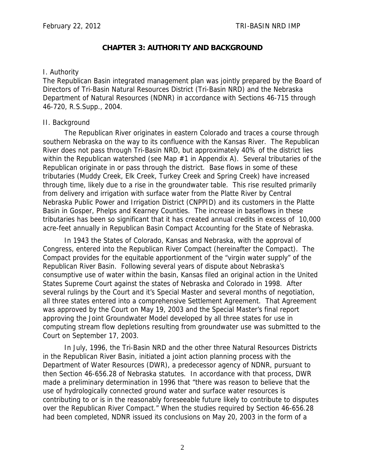## **CHAPTER 3: AUTHORITY AND BACKGROUND**

#### I. Authority

The Republican Basin integrated management plan was jointly prepared by the Board of Directors of Tri-Basin Natural Resources District (Tri-Basin NRD) and the Nebraska Department of Natural Resources (NDNR) in accordance with Sections 46-715 through 46-720, R.S.Supp., 2004.

#### II. Background

The Republican River originates in eastern Colorado and traces a course through southern Nebraska on the way to its confluence with the Kansas River. The Republican River does not pass through Tri-Basin NRD, but approximately 40% of the district lies within the Republican watershed (see Map  $#1$  in Appendix A). Several tributaries of the Republican originate in or pass through the district. Base flows in some of these tributaries (Muddy Creek, Elk Creek, Turkey Creek and Spring Creek) have increased through time, likely due to a rise in the groundwater table. This rise resulted primarily from delivery and irrigation with surface water from the Platte River by Central Nebraska Public Power and Irrigation District (CNPPID) and its customers in the Platte Basin in Gosper, Phelps and Kearney Counties. The increase in baseflows in these tributaries has been so significant that it has created annual credits in excess of 10,000 acre-feet annually in Republican Basin Compact Accounting for the State of Nebraska.

In 1943 the States of Colorado, Kansas and Nebraska, with the approval of Congress, entered into the Republican River Compact (hereinafter the Compact). The Compact provides for the equitable apportionment of the "virgin water supply" of the Republican River Basin. Following several years of dispute about Nebraska's consumptive use of water within the basin, Kansas filed an original action in the United States Supreme Court against the states of Nebraska and Colorado in 1998. After several rulings by the Court and it's Special Master and several months of negotiation, all three states entered into a comprehensive Settlement Agreement. That Agreement was approved by the Court on May 19, 2003 and the Special Master's final report approving the Joint Groundwater Model developed by all three states for use in computing stream flow depletions resulting from groundwater use was submitted to the Court on September 17, 2003.

In July, 1996, the Tri-Basin NRD and the other three Natural Resources Districts in the Republican River Basin, initiated a joint action planning process with the Department of Water Resources (DWR), a predecessor agency of NDNR, pursuant to then Section 46-656.28 of Nebraska statutes. In accordance with that process, DWR made a preliminary determination in 1996 that "there was reason to believe that the use of hydrologically connected ground water and surface water resources is contributing to or is in the reasonably foreseeable future likely to contribute to disputes over the Republican River Compact." When the studies required by Section 46-656.28 had been completed, NDNR issued its conclusions on May 20, 2003 in the form of a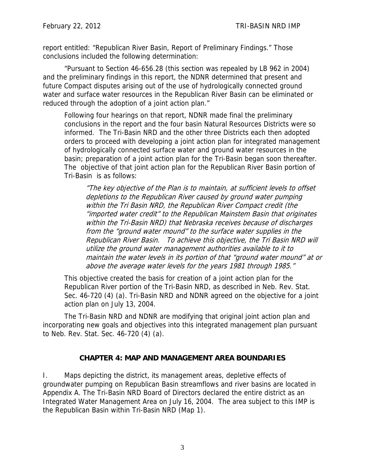report entitled: "Republican River Basin, Report of Preliminary Findings." Those conclusions included the following determination:

"Pursuant to Section 46-656.28 (this section was repealed by LB 962 in 2004) and the preliminary findings in this report, the NDNR determined that present and future Compact disputes arising out of the use of hydrologically connected ground water and surface water resources in the Republican River Basin can be eliminated or reduced through the adoption of a joint action plan."

Following four hearings on that report, NDNR made final the preliminary conclusions in the report and the four basin Natural Resources Districts were so informed. The Tri-Basin NRD and the other three Districts each then adopted orders to proceed with developing a joint action plan for integrated management of hydrologically connected surface water and ground water resources in the basin; preparation of a joint action plan for the Tri-Basin began soon thereafter. The objective of that joint action plan for the Republican River Basin portion of Tri-Basin is as follows:

"The key objective of the Plan is to maintain, at sufficient levels to offset depletions to the Republican River caused by ground water pumping within the Tri Basin NRD, the Republican River Compact credit (the "imported water credit" to the Republican Mainstem Basin that originates within the Tri-Basin NRD) that Nebraska receives because of discharges from the "ground water mound" to the surface water supplies in the Republican River Basin. To achieve this objective, the Tri Basin NRD will utilize the ground water management authorities available to it to maintain the water levels in its portion of that "ground water mound" at or above the average water levels for the years 1981 through 1985."

This objective created the basis for creation of a joint action plan for the Republican River portion of the Tri-Basin NRD, as described in Neb. Rev. Stat. Sec. 46-720 (4) (a). Tri-Basin NRD and NDNR agreed on the objective for a joint action plan on July 13, 2004.

 The Tri-Basin NRD and NDNR are modifying that original joint action plan and incorporating new goals and objectives into this integrated management plan pursuant to Neb. Rev. Stat. Sec. 46-720 (4) (a).

## **CHAPTER 4: MAP AND MANAGEMENT AREA BOUNDARIES**

I. Maps depicting the district, its management areas, depletive effects of groundwater pumping on Republican Basin streamflows and river basins are located in Appendix A. The Tri-Basin NRD Board of Directors declared the entire district as an Integrated Water Management Area on July 16, 2004. The area subject to this IMP is the Republican Basin within Tri-Basin NRD (Map 1).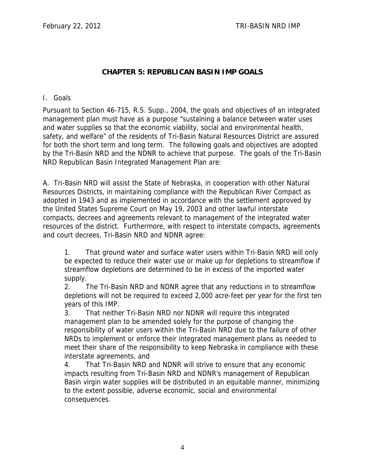## **CHAPTER 5: REPUBLICAN BASIN IMP GOALS**

I. Goals

Pursuant to Section 46-715, R.S. Supp., 2004, the goals and objectives of an integrated management plan must have as a purpose "sustaining a balance between water uses and water supplies so that the economic viability, social and environmental health, safety, and welfare" of the residents of Tri-Basin Natural Resources District are assured for both the short term and long term. The following goals and objectives are adopted by the Tri-Basin NRD and the NDNR to achieve that purpose. The goals of the Tri-Basin NRD Republican Basin Integrated Management Plan are:

A. Tri-Basin NRD will assist the State of Nebraska, in cooperation with other Natural Resources Districts, in maintaining compliance with the Republican River Compact as adopted in 1943 and as implemented in accordance with the settlement approved by the United States Supreme Court on May 19, 2003 and other lawful interstate compacts, decrees and agreements relevant to management of the integrated water resources of the district. Furthermore, with respect to interstate compacts, agreements and court decrees, Tri-Basin NRD and NDNR agree:

1. That ground water and surface water users within Tri-Basin NRD will only be expected to reduce their water use or make up for depletions to streamflow if streamflow depletions are determined to be in excess of the imported water supply.

2. The Tri-Basin NRD and NDNR agree that any reductions in to streamflow depletions will not be required to exceed 2,000 acre-feet per year for the first ten years of this IMP.

3. That neither Tri-Basin NRD nor NDNR will require this integrated management plan to be amended solely for the purpose of changing the responsibility of water users within the Tri-Basin NRD due to the failure of other NRDs to implement or enforce their integrated management plans as needed to meet their share of the responsibility to keep Nebraska in compliance with these interstate agreements, and

4. That Tri-Basin NRD and NDNR will strive to ensure that any economic impacts resulting from Tri-Basin NRD and NDNR's management of Republican Basin virgin water supplies will be distributed in an equitable manner, minimizing to the extent possible, adverse economic, social and environmental consequences.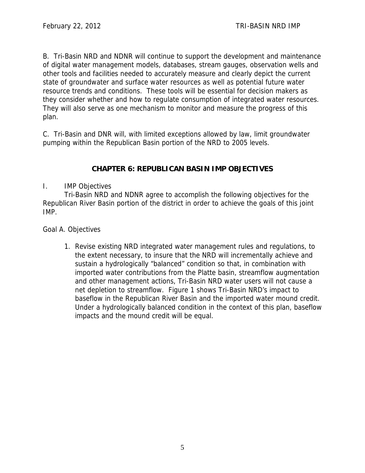B. Tri-Basin NRD and NDNR will continue to support the development and maintenance of digital water management models, databases, stream gauges, observation wells and other tools and facilities needed to accurately measure and clearly depict the current state of groundwater and surface water resources as well as potential future water resource trends and conditions. These tools will be essential for decision makers as they consider whether and how to regulate consumption of integrated water resources. They will also serve as one mechanism to monitor and measure the progress of this plan.

C. Tri-Basin and DNR will, with limited exceptions allowed by law, limit groundwater pumping within the Republican Basin portion of the NRD to 2005 levels.

# **CHAPTER 6: REPUBLICAN BASIN IMP OBJECTIVES**

## I. IMP Objectives

Tri-Basin NRD and NDNR agree to accomplish the following objectives for the Republican River Basin portion of the district in order to achieve the goals of this joint IMP.

Goal A. Objectives

1. Revise existing NRD integrated water management rules and regulations, to the extent necessary, to insure that the NRD will incrementally achieve and sustain a hydrologically "balanced" condition so that, in combination with imported water contributions from the Platte basin, streamflow augmentation and other management actions, Tri-Basin NRD water users will not cause a net depletion to streamflow. Figure 1 shows Tri-Basin NRD's impact to baseflow in the Republican River Basin and the imported water mound credit. Under a hydrologically balanced condition in the context of this plan, baseflow impacts and the mound credit will be equal.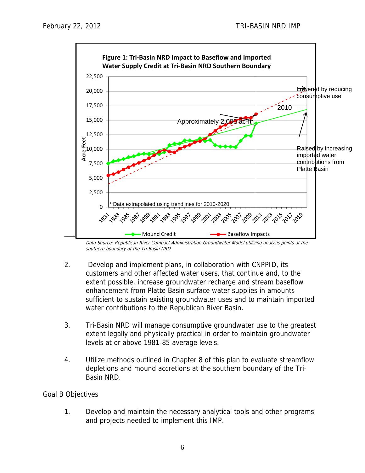

Data Source: Republican River Compact Administration Groundwater Model utilizing analysis points at the southern boundary of the Tri-Basin NRD

- 2. Develop and implement plans, in collaboration with CNPPID, its customers and other affected water users, that continue and, to the extent possible, increase groundwater recharge and stream baseflow enhancement from Platte Basin surface water supplies in amounts sufficient to sustain existing groundwater uses and to maintain imported water contributions to the Republican River Basin.
- 3. Tri-Basin NRD will manage consumptive groundwater use to the greatest extent legally and physically practical in order to maintain groundwater levels at or above 1981-85 average levels.
- 4. Utilize methods outlined in Chapter 8 of this plan to evaluate streamflow depletions and mound accretions at the southern boundary of the Tri-Basin NRD.

#### Goal B Objectives

1. Develop and maintain the necessary analytical tools and other programs and projects needed to implement this IMP.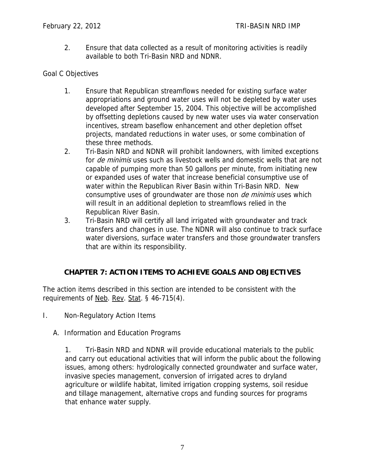2. Ensure that data collected as a result of monitoring activities is readily available to both Tri-Basin NRD and NDNR.

### Goal C Objectives

- 1. Ensure that Republican streamflows needed for existing surface water appropriations and ground water uses will not be depleted by water uses developed after September 15, 2004. This objective will be accomplished by offsetting depletions caused by new water uses via water conservation incentives, stream baseflow enhancement and other depletion offset projects, mandated reductions in water uses, or some combination of these three methods.
- 2. Tri-Basin NRD and NDNR will prohibit landowners, with limited exceptions for *de minimis* uses such as livestock wells and domestic wells that are not capable of pumping more than 50 gallons per minute, from initiating new or expanded uses of water that increase beneficial consumptive use of water within the Republican River Basin within Tri-Basin NRD. New consumptive uses of groundwater are those non *de minimis* uses which will result in an additional depletion to streamflows relied in the Republican River Basin.
- 3. Tri-Basin NRD will certify all land irrigated with groundwater and track transfers and changes in use. The NDNR will also continue to track surface water diversions, surface water transfers and those groundwater transfers that are within its responsibility.

# **CHAPTER 7: ACTION ITEMS TO ACHIEVE GOALS AND OBJECTIVES**

The action items described in this section are intended to be consistent with the requirements of <u>Neb</u>. Rev. Stat. § 46-715(4).

- I. Non-Regulatory Action Items
	- A. Information and Education Programs

1. Tri-Basin NRD and NDNR will provide educational materials to the public and carry out educational activities that will inform the public about the following issues, among others: hydrologically connected groundwater and surface water, invasive species management, conversion of irrigated acres to dryland agriculture or wildlife habitat, limited irrigation cropping systems, soil residue and tillage management, alternative crops and funding sources for programs that enhance water supply.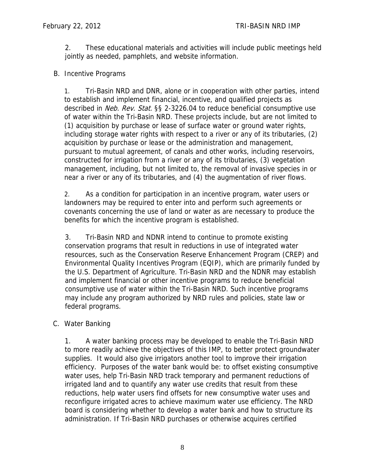2. These educational materials and activities will include public meetings held jointly as needed, pamphlets, and website information.

### B. Incentive Programs

1. Tri-Basin NRD and DNR, alone or in cooperation with other parties, intend to establish and implement financial, incentive, and qualified projects as described in Neb. Rev. Stat. §§ 2-3226.04 to reduce beneficial consumptive use of water within the Tri-Basin NRD. These projects include, but are not limited to (1) acquisition by purchase or lease of surface water or ground water rights, including storage water rights with respect to a river or any of its tributaries, (2) acquisition by purchase or lease or the administration and management, pursuant to mutual agreement, of canals and other works, including reservoirs, constructed for irrigation from a river or any of its tributaries, (3) vegetation management, including, but not limited to, the removal of invasive species in or near a river or any of its tributaries, and (4) the augmentation of river flows.

2. As a condition for participation in an incentive program, water users or landowners may be required to enter into and perform such agreements or covenants concerning the use of land or water as are necessary to produce the benefits for which the incentive program is established.

3. Tri-Basin NRD and NDNR intend to continue to promote existing conservation programs that result in reductions in use of integrated water resources, such as the Conservation Reserve Enhancement Program (CREP) and Environmental Quality Incentives Program (EQIP), which are primarily funded by the U.S. Department of Agriculture. Tri-Basin NRD and the NDNR may establish and implement financial or other incentive programs to reduce beneficial consumptive use of water within the Tri-Basin NRD. Such incentive programs may include any program authorized by NRD rules and policies, state law or federal programs.

## C. Water Banking

1. A water banking process may be developed to enable the Tri-Basin NRD to more readily achieve the objectives of this IMP, to better protect groundwater supplies. It would also give irrigators another tool to improve their irrigation efficiency. Purposes of the water bank would be: to offset existing consumptive water uses, help Tri-Basin NRD track temporary and permanent reductions of irrigated land and to quantify any water use credits that result from these reductions, help water users find offsets for new consumptive water uses and reconfigure irrigated acres to achieve maximum water use efficiency. The NRD board is considering whether to develop a water bank and how to structure its administration. If Tri-Basin NRD purchases or otherwise acquires certified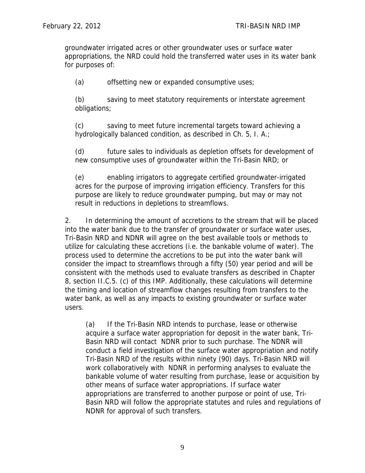groundwater irrigated acres or other groundwater uses or surface water appropriations, the NRD could hold the transferred water uses in its water bank for purposes of:

(a) offsetting new or expanded consumptive uses;

(b) saving to meet statutory requirements or interstate agreement obligations;

(c) saving to meet future incremental targets toward achieving a hydrologically balanced condition, as described in Ch. 5, I. A.;

(d) future sales to individuals as depletion offsets for development of new consumptive uses of groundwater within the Tri-Basin NRD; or

(e) enabling irrigators to aggregate certified groundwater-irrigated acres for the purpose of improving irrigation efficiency. Transfers for this purpose are likely to reduce groundwater pumping, but may or may not result in reductions in depletions to streamflows.

2. In determining the amount of accretions to the stream that will be placed into the water bank due to the transfer of groundwater or surface water uses, Tri-Basin NRD and NDNR will agree on the best available tools or methods to utilize for calculating these accretions (i.e. the bankable volume of water). The process used to determine the accretions to be put into the water bank will consider the impact to streamflows through a fifty (50) year period and will be consistent with the methods used to evaluate transfers as described in Chapter 8, section II.C.5. (c) of this IMP. Additionally, these calculations will determine the timing and location of streamflow changes resulting from transfers to the water bank, as well as any impacts to existing groundwater or surface water users.

(a) If the Tri-Basin NRD intends to purchase, lease or otherwise acquire a surface water appropriation for deposit in the water bank, Tri-Basin NRD will contact NDNR prior to such purchase. The NDNR will conduct a field investigation of the surface water appropriation and notify Tri-Basin NRD of the results within ninety (90) days. Tri-Basin NRD will work collaboratively with NDNR in performing analyses to evaluate the bankable volume of water resulting from purchase, lease or acquisition by other means of surface water appropriations. If surface water appropriations are transferred to another purpose or point of use, Tri-Basin NRD will follow the appropriate statutes and rules and regulations of NDNR for approval of such transfers.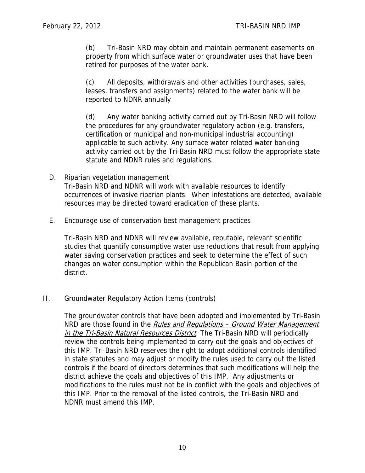(b) Tri-Basin NRD may obtain and maintain permanent easements on property from which surface water or groundwater uses that have been retired for purposes of the water bank.

(c) All deposits, withdrawals and other activities (purchases, sales, leases, transfers and assignments) related to the water bank will be reported to NDNR annually

(d) Any water banking activity carried out by Tri-Basin NRD will follow the procedures for any groundwater regulatory action (e.g. transfers, certification or municipal and non-municipal industrial accounting) applicable to such activity. Any surface water related water banking activity carried out by the Tri-Basin NRD must follow the appropriate state statute and NDNR rules and regulations.

- D. Riparian vegetation management Tri-Basin NRD and NDNR will work with available resources to identify occurrences of invasive riparian plants. When infestations are detected, available resources may be directed toward eradication of these plants.
- E. Encourage use of conservation best management practices

Tri-Basin NRD and NDNR will review available, reputable, relevant scientific studies that quantify consumptive water use reductions that result from applying water saving conservation practices and seek to determine the effect of such changes on water consumption within the Republican Basin portion of the district.

#### II. Groundwater Regulatory Action Items (controls)

The groundwater controls that have been adopted and implemented by Tri-Basin NRD are those found in the *Rules and Regulations - Ground Water Management* in the Tri-Basin Natural Resources District. The Tri-Basin NRD will periodically review the controls being implemented to carry out the goals and objectives of this IMP. Tri-Basin NRD reserves the right to adopt additional controls identified in state statutes and may adjust or modify the rules used to carry out the listed controls if the board of directors determines that such modifications will help the district achieve the goals and objectives of this IMP. Any adjustments or modifications to the rules must not be in conflict with the goals and objectives of this IMP. Prior to the removal of the listed controls, the Tri-Basin NRD and NDNR must amend this IMP.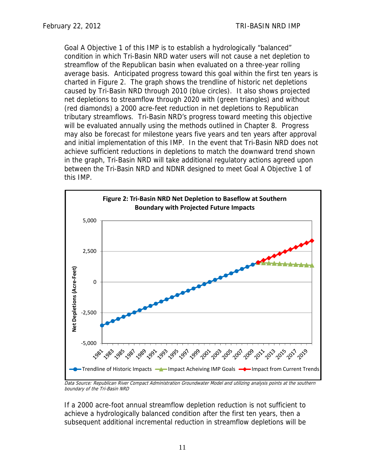Goal A Objective 1 of this IMP is to establish a hydrologically "balanced" condition in which Tri-Basin NRD water users will not cause a net depletion to streamflow of the Republican basin when evaluated on a three-year rolling average basis. Anticipated progress toward this goal within the first ten years is charted in Figure 2. The graph shows the trendline of historic net depletions caused by Tri-Basin NRD through 2010 (blue circles). It also shows projected net depletions to streamflow through 2020 with (green triangles) and without (red diamonds) a 2000 acre-feet reduction in net depletions to Republican tributary streamflows. Tri-Basin NRD's progress toward meeting this objective will be evaluated annually using the methods outlined in Chapter 8. Progress may also be forecast for milestone years five years and ten years after approval and initial implementation of this IMP. In the event that Tri-Basin NRD does not achieve sufficient reductions in depletions to match the downward trend shown in the graph, Tri-Basin NRD will take additional regulatory actions agreed upon between the Tri-Basin NRD and NDNR designed to meet Goal A Objective 1 of this IMP.



Data Source: Republican River Compact Administration Groundwater Model and utilizing analysis points at the southern boundary of the Tri-Basin NRD

If a 2000 acre-foot annual streamflow depletion reduction is not sufficient to achieve a hydrologically balanced condition after the first ten years, then a subsequent additional incremental reduction in streamflow depletions will be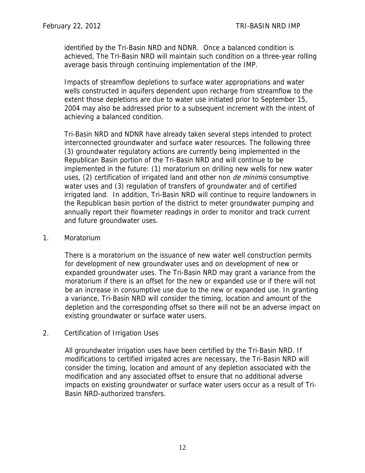identified by the Tri-Basin NRD and NDNR. Once a balanced condition is achieved, The Tri-Basin NRD will maintain such condition on a three-year rolling average basis through continuing implementation of the IMP.

Impacts of streamflow depletions to surface water appropriations and water wells constructed in aquifers dependent upon recharge from streamflow to the extent those depletions are due to water use initiated prior to September 15, 2004 may also be addressed prior to a subsequent increment with the intent of achieving a balanced condition.

Tri-Basin NRD and NDNR have already taken several steps intended to protect interconnected groundwater and surface water resources. The following three (3) groundwater regulatory actions are currently being implemented in the Republican Basin portion of the Tri-Basin NRD and will continue to be implemented in the future: (1) moratorium on drilling new wells for new water uses, (2) certification of irrigated land and other non *de minimis* consumptive water uses and (3) regulation of transfers of groundwater and of certified irrigated land. In addition, Tri-Basin NRD will continue to require landowners in the Republican basin portion of the district to meter groundwater pumping and annually report their flowmeter readings in order to monitor and track current and future groundwater uses.

#### 1. Moratorium

There is a moratorium on the issuance of new water well construction permits for development of new groundwater uses and on development of new or expanded groundwater uses. The Tri-Basin NRD may grant a variance from the moratorium if there is an offset for the new or expanded use or if there will not be an increase in consumptive use due to the new or expanded use. In granting a variance, Tri-Basin NRD will consider the timing, location and amount of the depletion and the corresponding offset so there will not be an adverse impact on existing groundwater or surface water users.

#### 2. Certification of Irrigation Uses

All groundwater irrigation uses have been certified by the Tri-Basin NRD. If modifications to certified irrigated acres are necessary, the Tri-Basin NRD will consider the timing, location and amount of any depletion associated with the modification and any associated offset to ensure that no additional adverse impacts on existing groundwater or surface water users occur as a result of Tri-Basin NRD-authorized transfers.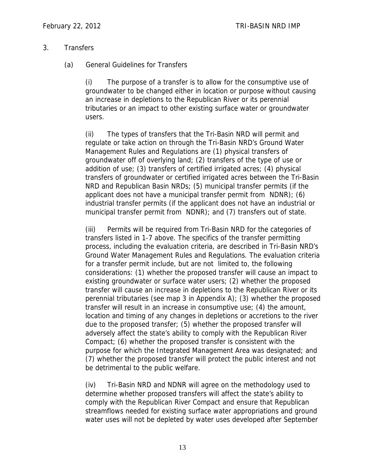#### 3. Transfers

### (a) General Guidelines for Transfers

(i) The purpose of a transfer is to allow for the consumptive use of groundwater to be changed either in location or purpose without causing an increase in depletions to the Republican River or its perennial tributaries or an impact to other existing surface water or groundwater users.

(ii) The types of transfers that the Tri-Basin NRD will permit and regulate or take action on through the Tri-Basin NRD's Ground Water Management Rules and Regulations are (1) physical transfers of groundwater off of overlying land; (2) transfers of the type of use or addition of use; (3) transfers of certified irrigated acres; (4) physical transfers of groundwater or certified irrigated acres between the Tri-Basin NRD and Republican Basin NRDs; (5) municipal transfer permits (if the applicant does not have a municipal transfer permit from NDNR); (6) industrial transfer permits (if the applicant does not have an industrial or municipal transfer permit from NDNR); and (7) transfers out of state.

(iii) Permits will be required from Tri-Basin NRD for the categories of transfers listed in 1-7 above. The specifics of the transfer permitting process, including the evaluation criteria, are described in Tri-Basin NRD's Ground Water Management Rules and Regulations. The evaluation criteria for a transfer permit include, but are not limited to, the following considerations: (1) whether the proposed transfer will cause an impact to existing groundwater or surface water users; (2) whether the proposed transfer will cause an increase in depletions to the Republican River or its perennial tributaries (see map 3 in Appendix A); (3) whether the proposed transfer will result in an increase in consumptive use; (4) the amount, location and timing of any changes in depletions or accretions to the river due to the proposed transfer; (5) whether the proposed transfer will adversely affect the state's ability to comply with the Republican River Compact; (6) whether the proposed transfer is consistent with the purpose for which the Integrated Management Area was designated; and (7) whether the proposed transfer will protect the public interest and not be detrimental to the public welfare.

(iv) Tri-Basin NRD and NDNR will agree on the methodology used to determine whether proposed transfers will affect the state's ability to comply with the Republican River Compact and ensure that Republican streamflows needed for existing surface water appropriations and ground water uses will not be depleted by water uses developed after September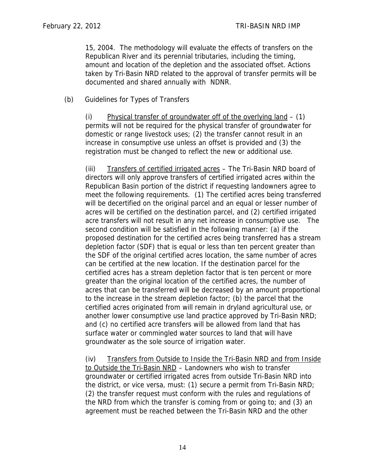15, 2004. The methodology will evaluate the effects of transfers on the Republican River and its perennial tributaries, including the timing, amount and location of the depletion and the associated offset. Actions taken by Tri-Basin NRD related to the approval of transfer permits will be documented and shared annually with NDNR.

(b) Guidelines for Types of Transfers

(i) Physical transfer of groundwater off of the overlying  $land - (1)$ permits will not be required for the physical transfer of groundwater for domestic or range livestock uses; (2) the transfer cannot result in an increase in consumptive use unless an offset is provided and (3) the registration must be changed to reflect the new or additional use.

(iii) Transfers of certified irrigated acres - The Tri-Basin NRD board of directors will only approve transfers of certified irrigated acres within the Republican Basin portion of the district if requesting landowners agree to meet the following requirements. (1) The certified acres being transferred will be decertified on the original parcel and an equal or lesser number of acres will be certified on the destination parcel, and (2) certified irrigated acre transfers will not result in any net increase in consumptive use. The second condition will be satisfied in the following manner: (a) if the proposed destination for the certified acres being transferred has a stream depletion factor (SDF) that is equal or less than ten percent greater than the SDF of the original certified acres location, the same number of acres can be certified at the new location. If the destination parcel for the certified acres has a stream depletion factor that is ten percent or more greater than the original location of the certified acres, the number of acres that can be transferred will be decreased by an amount proportional to the increase in the stream depletion factor; (b) the parcel that the certified acres originated from will remain in dryland agricultural use, or another lower consumptive use land practice approved by Tri-Basin NRD; and (c) no certified acre transfers will be allowed from land that has surface water or commingled water sources to land that will have groundwater as the sole source of irrigation water.

(iv) Transfers from Outside to Inside the Tri-Basin NRD and from Inside to Outside the Tri-Basin NRD – Landowners who wish to transfer groundwater or certified irrigated acres from outside Tri-Basin NRD into the district, or vice versa, must: (1) secure a permit from Tri-Basin NRD; (2) the transfer request must conform with the rules and regulations of the NRD from which the transfer is coming from or going to; and (3) an agreement must be reached between the Tri-Basin NRD and the other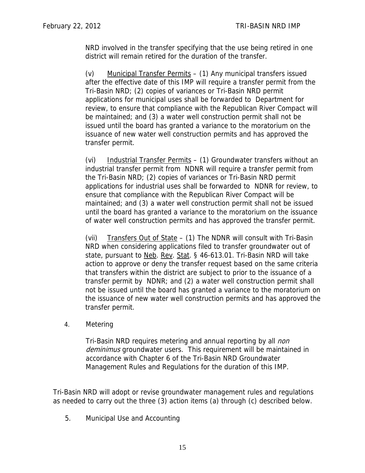NRD involved in the transfer specifying that the use being retired in one district will remain retired for the duration of the transfer.

(v) Municipal Transfer Permits – (1) Any municipal transfers issued after the effective date of this IMP will require a transfer permit from the Tri-Basin NRD; (2) copies of variances or Tri-Basin NRD permit applications for municipal uses shall be forwarded to Department for review, to ensure that compliance with the Republican River Compact will be maintained; and (3) a water well construction permit shall not be issued until the board has granted a variance to the moratorium on the issuance of new water well construction permits and has approved the transfer permit.

(vi) Industrial Transfer Permits – (1) Groundwater transfers without an industrial transfer permit from NDNR will require a transfer permit from the Tri-Basin NRD; (2) copies of variances or Tri-Basin NRD permit applications for industrial uses shall be forwarded to NDNR for review, to ensure that compliance with the Republican River Compact will be maintained; and (3) a water well construction permit shall not be issued until the board has granted a variance to the moratorium on the issuance of water well construction permits and has approved the transfer permit.

(vii) Transfers Out of State – (1) The NDNR will consult with Tri-Basin NRD when considering applications filed to transfer groundwater out of state, pursuant to Neb. Rev. Stat. § 46-613.01. Tri-Basin NRD will take action to approve or deny the transfer request based on the same criteria that transfers within the district are subject to prior to the issuance of a transfer permit by NDNR; and (2) a water well construction permit shall not be issued until the board has granted a variance to the moratorium on the issuance of new water well construction permits and has approved the transfer permit.

4. Metering

Tri-Basin NRD requires metering and annual reporting by all *non* deminimus groundwater users. This requirement will be maintained in accordance with Chapter 6 of the Tri-Basin NRD Groundwater Management Rules and Regulations for the duration of this IMP.

Tri-Basin NRD will adopt or revise groundwater management rules and regulations as needed to carry out the three (3) action items (a) through (c) described below.

5. Municipal Use and Accounting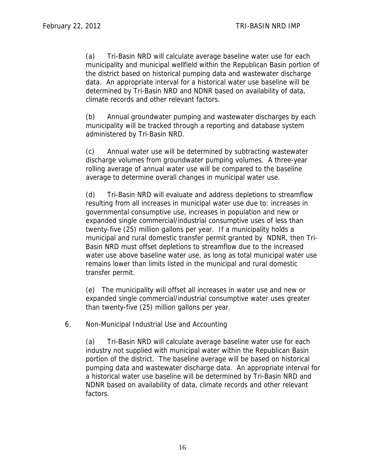(a) Tri-Basin NRD will calculate average baseline water use for each municipality and municipal wellfield within the Republican Basin portion of the district based on historical pumping data and wastewater discharge data. An appropriate interval for a historical water use baseline will be determined by Tri-Basin NRD and NDNR based on availability of data, climate records and other relevant factors.

(b) Annual groundwater pumping and wastewater discharges by each municipality will be tracked through a reporting and database system administered by Tri-Basin NRD.

(c) Annual water use will be determined by subtracting wastewater discharge volumes from groundwater pumping volumes. A three-year rolling average of annual water use will be compared to the baseline average to determine overall changes in municipal water use.

(d) Tri-Basin NRD will evaluate and address depletions to streamflow resulting from all increases in municipal water use due to: increases in governmental consumptive use, increases in population and new or expanded single commercial/industrial consumptive uses of less than twenty-five (25) million gallons per year. If a municipality holds a municipal and rural domestic transfer permit granted by NDNR, then Tri-Basin NRD must offset depletions to streamflow due to the increased water use above baseline water use, as long as total municipal water use remains lower than limits listed in the municipal and rural domestic transfer permit.

(e) The municipality will offset all increases in water use and new or expanded single commercial/industrial consumptive water uses greater than twenty-five (25) million gallons per year.

6. Non-Municipal Industrial Use and Accounting

(a) Tri-Basin NRD will calculate average baseline water use for each industry not supplied with municipal water within the Republican Basin portion of the district. The baseline average will be based on historical pumping data and wastewater discharge data. An appropriate interval for a historical water use baseline will be determined by Tri-Basin NRD and NDNR based on availability of data, climate records and other relevant factors.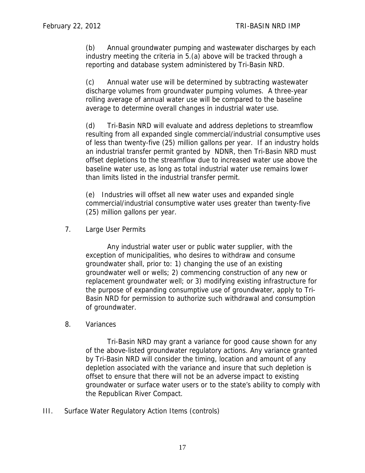(b) Annual groundwater pumping and wastewater discharges by each industry meeting the criteria in 5.(a) above will be tracked through a reporting and database system administered by Tri-Basin NRD.

(c) Annual water use will be determined by subtracting wastewater discharge volumes from groundwater pumping volumes. A three-year rolling average of annual water use will be compared to the baseline average to determine overall changes in industrial water use.

(d) Tri-Basin NRD will evaluate and address depletions to streamflow resulting from all expanded single commercial/industrial consumptive uses of less than twenty-five (25) million gallons per year. If an industry holds an industrial transfer permit granted by NDNR, then Tri-Basin NRD must offset depletions to the streamflow due to increased water use above the baseline water use, as long as total industrial water use remains lower than limits listed in the industrial transfer permit.

(e) Industries will offset all new water uses and expanded single commercial/industrial consumptive water uses greater than twenty-five (25) million gallons per year.

7. Large User Permits

Any industrial water user or public water supplier, with the exception of municipalities, who desires to withdraw and consume groundwater shall, prior to: 1) changing the use of an existing groundwater well or wells; 2) commencing construction of any new or replacement groundwater well; or 3) modifying existing infrastructure for the purpose of expanding consumptive use of groundwater, apply to Tri-Basin NRD for permission to authorize such withdrawal and consumption of groundwater.

8. Variances

Tri-Basin NRD may grant a variance for good cause shown for any of the above-listed groundwater regulatory actions. Any variance granted by Tri-Basin NRD will consider the timing, location and amount of any depletion associated with the variance and insure that such depletion is offset to ensure that there will not be an adverse impact to existing groundwater or surface water users or to the state's ability to comply with the Republican River Compact.

III. Surface Water Regulatory Action Items (controls)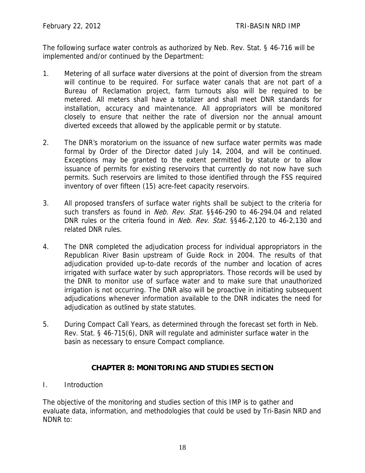The following surface water controls as authorized by Neb. Rev. Stat. § 46-716 will be implemented and/or continued by the Department:

- 1. Metering of all surface water diversions at the point of diversion from the stream will continue to be required. For surface water canals that are not part of a Bureau of Reclamation project, farm turnouts also will be required to be metered. All meters shall have a totalizer and shall meet DNR standards for installation, accuracy and maintenance. All appropriators will be monitored closely to ensure that neither the rate of diversion nor the annual amount diverted exceeds that allowed by the applicable permit or by statute.
- 2. The DNR's moratorium on the issuance of new surface water permits was made formal by Order of the Director dated July 14, 2004, and will be continued. Exceptions may be granted to the extent permitted by statute or to allow issuance of permits for existing reservoirs that currently do not now have such permits. Such reservoirs are limited to those identified through the FSS required inventory of over fifteen (15) acre-feet capacity reservoirs.
- 3. All proposed transfers of surface water rights shall be subject to the criteria for such transfers as found in *Neb. Rev. Stat.* §§46-290 to 46-294.04 and related DNR rules or the criteria found in *Neb. Rev. Stat.* §§46-2,120 to 46-2,130 and related DNR rules.
- 4. The DNR completed the adjudication process for individual appropriators in the Republican River Basin upstream of Guide Rock in 2004. The results of that adjudication provided up-to-date records of the number and location of acres irrigated with surface water by such appropriators. Those records will be used by the DNR to monitor use of surface water and to make sure that unauthorized irrigation is not occurring. The DNR also will be proactive in initiating subsequent adjudications whenever information available to the DNR indicates the need for adjudication as outlined by state statutes.
- 5. During Compact Call Years, as determined through the forecast set forth in Neb. Rev. Stat. § 46-715(6), DNR will regulate and administer surface water in the basin as necessary to ensure Compact compliance.

# **CHAPTER 8: MONITORING AND STUDIES SECTION**

I. Introduction

The objective of the monitoring and studies section of this IMP is to gather and evaluate data, information, and methodologies that could be used by Tri-Basin NRD and NDNR to: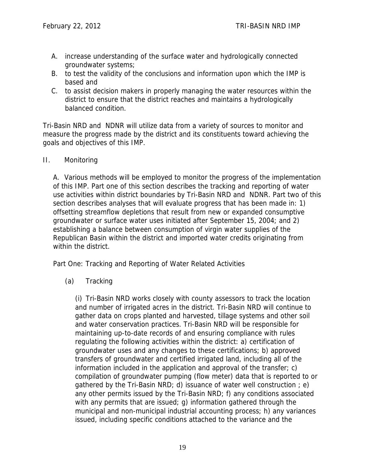- A. increase understanding of the surface water and hydrologically connected groundwater systems;
- B. to test the validity of the conclusions and information upon which the IMP is based and
- C. to assist decision makers in properly managing the water resources within the district to ensure that the district reaches and maintains a hydrologically balanced condition.

Tri-Basin NRD and NDNR will utilize data from a variety of sources to monitor and measure the progress made by the district and its constituents toward achieving the goals and objectives of this IMP.

II. Monitoring

A. Various methods will be employed to monitor the progress of the implementation of this IMP. Part one of this section describes the tracking and reporting of water use activities within district boundaries by Tri-Basin NRD and NDNR. Part two of this section describes analyses that will evaluate progress that has been made in: 1) offsetting streamflow depletions that result from new or expanded consumptive groundwater or surface water uses initiated after September 15, 2004; and 2) establishing a balance between consumption of virgin water supplies of the Republican Basin within the district and imported water credits originating from within the district.

Part One: Tracking and Reporting of Water Related Activities

(a) Tracking

(i) Tri-Basin NRD works closely with county assessors to track the location and number of irrigated acres in the district. Tri-Basin NRD will continue to gather data on crops planted and harvested, tillage systems and other soil and water conservation practices. Tri-Basin NRD will be responsible for maintaining up-to-date records of and ensuring compliance with rules regulating the following activities within the district: a) certification of groundwater uses and any changes to these certifications; b) approved transfers of groundwater and certified irrigated land, including all of the information included in the application and approval of the transfer; c) compilation of groundwater pumping (flow meter) data that is reported to or gathered by the Tri-Basin NRD; d) issuance of water well construction  $; e)$ any other permits issued by the Tri-Basin NRD; f) any conditions associated with any permits that are issued; g) information gathered through the municipal and non-municipal industrial accounting process; h) any variances issued, including specific conditions attached to the variance and the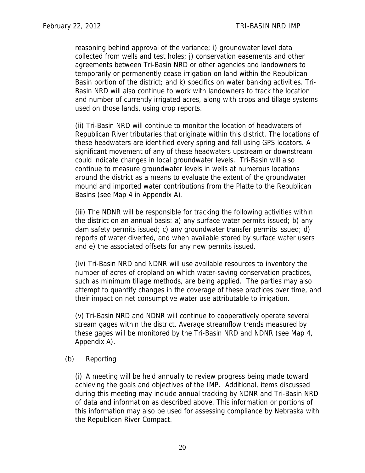reasoning behind approval of the variance; i) groundwater level data collected from wells and test holes; j) conservation easements and other agreements between Tri-Basin NRD or other agencies and landowners to temporarily or permanently cease irrigation on land within the Republican Basin portion of the district; and k) specifics on water banking activities. Tri-Basin NRD will also continue to work with landowners to track the location and number of currently irrigated acres, along with crops and tillage systems used on those lands, using crop reports.

(ii) Tri-Basin NRD will continue to monitor the location of headwaters of Republican River tributaries that originate within this district. The locations of these headwaters are identified every spring and fall using GPS locators. A significant movement of any of these headwaters upstream or downstream could indicate changes in local groundwater levels. Tri-Basin will also continue to measure groundwater levels in wells at numerous locations around the district as a means to evaluate the extent of the groundwater mound and imported water contributions from the Platte to the Republican Basins (see Map 4 in Appendix A).

(iii) The NDNR will be responsible for tracking the following activities within the district on an annual basis: a) any surface water permits issued; b) any dam safety permits issued; c) any groundwater transfer permits issued; d) reports of water diverted, and when available stored by surface water users and e) the associated offsets for any new permits issued.

(iv) Tri-Basin NRD and NDNR will use available resources to inventory the number of acres of cropland on which water-saving conservation practices, such as minimum tillage methods, are being applied. The parties may also attempt to quantify changes in the coverage of these practices over time, and their impact on net consumptive water use attributable to irrigation.

(v) Tri-Basin NRD and NDNR will continue to cooperatively operate several stream gages within the district. Average streamflow trends measured by these gages will be monitored by the Tri-Basin NRD and NDNR (see Map 4, Appendix A).

#### (b) Reporting

(i) A meeting will be held annually to review progress being made toward achieving the goals and objectives of the IMP. Additional, items discussed during this meeting may include annual tracking by NDNR and Tri-Basin NRD of data and information as described above. This information or portions of this information may also be used for assessing compliance by Nebraska with the Republican River Compact.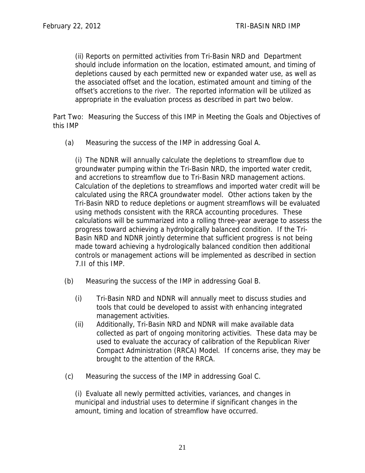(ii) Reports on permitted activities from Tri-Basin NRD and Department should include information on the location, estimated amount, and timing of depletions caused by each permitted new or expanded water use, as well as the associated offset and the location, estimated amount and timing of the offset's accretions to the river. The reported information will be utilized as appropriate in the evaluation process as described in part two below.

Part Two: Measuring the Success of this IMP in Meeting the Goals and Objectives of this IMP

(a) Measuring the success of the IMP in addressing Goal A.

(i) The NDNR will annually calculate the depletions to streamflow due to groundwater pumping within the Tri-Basin NRD, the imported water credit, and accretions to streamflow due to Tri-Basin NRD management actions. Calculation of the depletions to streamflows and imported water credit will be calculated using the RRCA groundwater model. Other actions taken by the Tri-Basin NRD to reduce depletions or augment streamflows will be evaluated using methods consistent with the RRCA accounting procedures. These calculations will be summarized into a rolling three-year average to assess the progress toward achieving a hydrologically balanced condition. If the Tri-Basin NRD and NDNR jointly determine that sufficient progress is not being made toward achieving a hydrologically balanced condition then additional controls or management actions will be implemented as described in section 7.II of this IMP.

- (b) Measuring the success of the IMP in addressing Goal B.
	- (i) Tri-Basin NRD and NDNR will annually meet to discuss studies and tools that could be developed to assist with enhancing integrated management activities.
	- (ii) Additionally, Tri-Basin NRD and NDNR will make available data collected as part of ongoing monitoring activities. These data may be used to evaluate the accuracy of calibration of the Republican River Compact Administration (RRCA) Model. If concerns arise, they may be brought to the attention of the RRCA.
- (c) Measuring the success of the IMP in addressing Goal C.

(i) Evaluate all newly permitted activities, variances, and changes in municipal and industrial uses to determine if significant changes in the amount, timing and location of streamflow have occurred.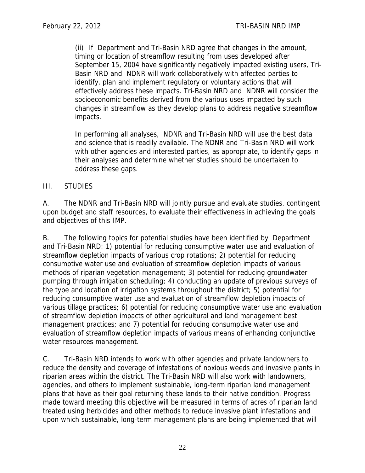(ii) If Department and Tri-Basin NRD agree that changes in the amount, timing or location of streamflow resulting from uses developed after September 15, 2004 have significantly negatively impacted existing users, Tri-Basin NRD and NDNR will work collaboratively with affected parties to identify, plan and implement regulatory or voluntary actions that will effectively address these impacts. Tri-Basin NRD and NDNR will consider the socioeconomic benefits derived from the various uses impacted by such changes in streamflow as they develop plans to address negative streamflow impacts.

In performing all analyses, NDNR and Tri-Basin NRD will use the best data and science that is readily available. The NDNR and Tri-Basin NRD will work with other agencies and interested parties, as appropriate, to identify gaps in their analyses and determine whether studies should be undertaken to address these gaps.

## III. STUDIES

A. The NDNR and Tri-Basin NRD will jointly pursue and evaluate studies. contingent upon budget and staff resources, to evaluate their effectiveness in achieving the goals and objectives of this IMP.

B. The following topics for potential studies have been identified by Department and Tri-Basin NRD: 1) potential for reducing consumptive water use and evaluation of streamflow depletion impacts of various crop rotations; 2) potential for reducing consumptive water use and evaluation of streamflow depletion impacts of various methods of riparian vegetation management; 3) potential for reducing groundwater pumping through irrigation scheduling; 4) conducting an update of previous surveys of the type and location of irrigation systems throughout the district; 5) potential for reducing consumptive water use and evaluation of streamflow depletion impacts of various tillage practices; 6) potential for reducing consumptive water use and evaluation of streamflow depletion impacts of other agricultural and land management best management practices; and 7) potential for reducing consumptive water use and evaluation of streamflow depletion impacts of various means of enhancing conjunctive water resources management.

C. Tri-Basin NRD intends to work with other agencies and private landowners to reduce the density and coverage of infestations of noxious weeds and invasive plants in riparian areas within the district. The Tri-Basin NRD will also work with landowners, agencies, and others to implement sustainable, long-term riparian land management plans that have as their goal returning these lands to their native condition. Progress made toward meeting this objective will be measured in terms of acres of riparian land treated using herbicides and other methods to reduce invasive plant infestations and upon which sustainable, long-term management plans are being implemented that will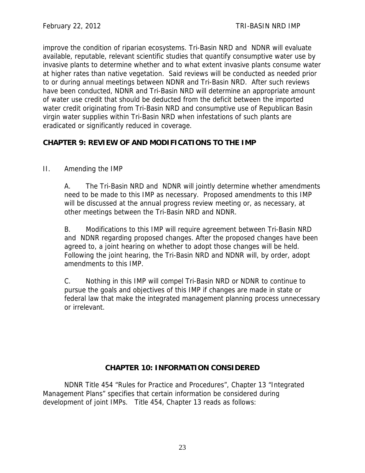improve the condition of riparian ecosystems. Tri-Basin NRD and NDNR will evaluate available, reputable, relevant scientific studies that quantify consumptive water use by invasive plants to determine whether and to what extent invasive plants consume water at higher rates than native vegetation. Said reviews will be conducted as needed prior to or during annual meetings between NDNR and Tri-Basin NRD. After such reviews have been conducted, NDNR and Tri-Basin NRD will determine an appropriate amount of water use credit that should be deducted from the deficit between the imported water credit originating from Tri-Basin NRD and consumptive use of Republican Basin virgin water supplies within Tri-Basin NRD when infestations of such plants are eradicated or significantly reduced in coverage.

# **CHAPTER 9: REVIEW OF AND MODIFICATIONS TO THE IMP**

# II. Amending the IMP

A. The Tri-Basin NRD and NDNR will jointly determine whether amendments need to be made to this IMP as necessary. Proposed amendments to this IMP will be discussed at the annual progress review meeting or, as necessary, at other meetings between the Tri-Basin NRD and NDNR.

B. Modifications to this IMP will require agreement between Tri-Basin NRD and NDNR regarding proposed changes. After the proposed changes have been agreed to, a joint hearing on whether to adopt those changes will be held. Following the joint hearing, the Tri-Basin NRD and NDNR will, by order, adopt amendments to this IMP.

C. Nothing in this IMP will compel Tri-Basin NRD or NDNR to continue to pursue the goals and objectives of this IMP if changes are made in state or federal law that make the integrated management planning process unnecessary or irrelevant.

# **CHAPTER 10: INFORMATION CONSIDERED**

NDNR Title 454 "Rules for Practice and Procedures", Chapter 13 "Integrated Management Plans" specifies that certain information be considered during development of joint IMPs. Title 454, Chapter 13 reads as follows: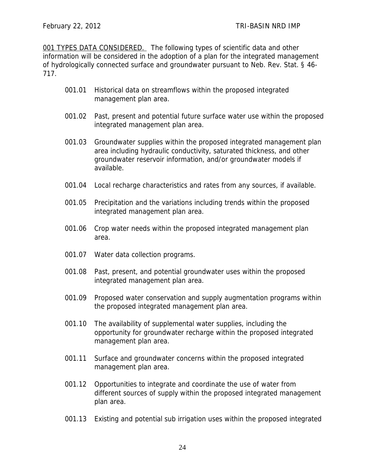001 TYPES DATA CONSIDERED. The following types of scientific data and other information will be considered in the adoption of a plan for the integrated management of hydrologically connected surface and groundwater pursuant to Neb. Rev. Stat. § 46- 717.

- 001.01 Historical data on streamflows within the proposed integrated management plan area.
- 001.02 Past, present and potential future surface water use within the proposed integrated management plan area.
- 001.03 Groundwater supplies within the proposed integrated management plan area including hydraulic conductivity, saturated thickness, and other groundwater reservoir information, and/or groundwater models if available.
- 001.04 Local recharge characteristics and rates from any sources, if available.
- 001.05 Precipitation and the variations including trends within the proposed integrated management plan area.
- 001.06 Crop water needs within the proposed integrated management plan area.
- 001.07 Water data collection programs.
- 001.08 Past, present, and potential groundwater uses within the proposed integrated management plan area.
- 001.09 Proposed water conservation and supply augmentation programs within the proposed integrated management plan area.
- 001.10 The availability of supplemental water supplies, including the opportunity for groundwater recharge within the proposed integrated management plan area.
- 001.11 Surface and groundwater concerns within the proposed integrated management plan area.
- 001.12 Opportunities to integrate and coordinate the use of water from different sources of supply within the proposed integrated management plan area.
- 001.13 Existing and potential sub irrigation uses within the proposed integrated